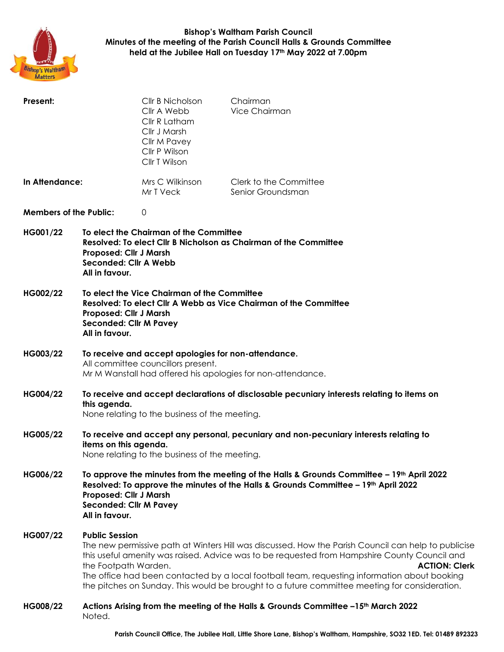

## **Bishop's Waltham Parish Council Minutes of the meeting of the Parish Council Halls & Grounds Committee held at the Jubilee Hall on Tuesday 17th May 2022 at 7.00pm**

| Present:                      |                                                                                                                                                                                                                                                                                                                                                                                                                                                                               | Cllr B Nicholson<br>Cllr A Webb<br>Cllr R Latham<br>Cllr J Marsh<br>Cllr M Pavey<br>Cllr P Wilson<br>Cllr T Wilson | Chairman<br>Vice Chairman                   |  |  |
|-------------------------------|-------------------------------------------------------------------------------------------------------------------------------------------------------------------------------------------------------------------------------------------------------------------------------------------------------------------------------------------------------------------------------------------------------------------------------------------------------------------------------|--------------------------------------------------------------------------------------------------------------------|---------------------------------------------|--|--|
| In Attendance:                |                                                                                                                                                                                                                                                                                                                                                                                                                                                                               | Mrs C Wilkinson<br>Mr T Veck                                                                                       | Clerk to the Committee<br>Senior Groundsman |  |  |
| <b>Members of the Public:</b> |                                                                                                                                                                                                                                                                                                                                                                                                                                                                               | 0                                                                                                                  |                                             |  |  |
| HG001/22                      | To elect the Chairman of the Committee<br>Resolved: To elect Cllr B Nicholson as Chairman of the Committee<br>Proposed: Cllr J Marsh<br>Seconded: Cllr A Webb<br>All in favour.                                                                                                                                                                                                                                                                                               |                                                                                                                    |                                             |  |  |
| HG002/22                      | To elect the Vice Chairman of the Committee<br>Resolved: To elect Cllr A Webb as Vice Chairman of the Committee<br>Proposed: Cllr J Marsh<br><b>Seconded: Cllr M Pavey</b><br>All in favour.                                                                                                                                                                                                                                                                                  |                                                                                                                    |                                             |  |  |
| HG003/22                      | To receive and accept apologies for non-attendance.<br>All committee councillors present.<br>Mr M Wanstall had offered his apologies for non-attendance.                                                                                                                                                                                                                                                                                                                      |                                                                                                                    |                                             |  |  |
| HG004/22                      | To receive and accept declarations of disclosable pecuniary interests relating to items on<br>this agenda.<br>None relating to the business of the meeting.                                                                                                                                                                                                                                                                                                                   |                                                                                                                    |                                             |  |  |
| HG005/22                      | To receive and accept any personal, pecuniary and non-pecuniary interests relating to<br>items on this agenda.<br>None relating to the business of the meeting.                                                                                                                                                                                                                                                                                                               |                                                                                                                    |                                             |  |  |
| HG006/22                      | To approve the minutes from the meeting of the Halls & Grounds Committee $-19th$ April 2022<br>Resolved: To approve the minutes of the Halls & Grounds Committee - 19 <sup>th</sup> April 2022<br>Proposed: Cllr J Marsh<br><b>Seconded: Cllr M Pavey</b><br>All in favour.                                                                                                                                                                                                   |                                                                                                                    |                                             |  |  |
| HG007/22                      | <b>Public Session</b><br>The new permissive path at Winters Hill was discussed. How the Parish Council can help to publicise<br>this useful amenity was raised. Advice was to be requested from Hampshire County Council and<br>the Footpath Warden.<br><b>ACTION: Clerk</b><br>The office had been contacted by a local football team, requesting information about booking<br>the pitches on Sunday. This would be brought to a future committee meeting for consideration. |                                                                                                                    |                                             |  |  |
| HG008/22                      | Actions Arising from the meeting of the Halls & Grounds Committee -15 <sup>th</sup> March 2022<br>Noted.                                                                                                                                                                                                                                                                                                                                                                      |                                                                                                                    |                                             |  |  |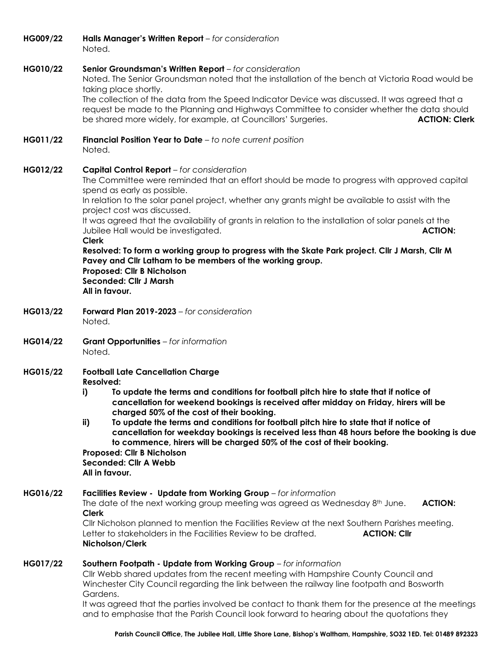| HG009/22 | Halls Manager's Written Report - for consideration<br>Noted.                                                                                                                                                                                                                                                                                                                                                                                                                                                                                                                                                                                                                                                                                         |  |  |  |  |
|----------|------------------------------------------------------------------------------------------------------------------------------------------------------------------------------------------------------------------------------------------------------------------------------------------------------------------------------------------------------------------------------------------------------------------------------------------------------------------------------------------------------------------------------------------------------------------------------------------------------------------------------------------------------------------------------------------------------------------------------------------------------|--|--|--|--|
| HG010/22 | Senior Groundsman's Written Report - for consideration<br>Noted. The Senior Groundsman noted that the installation of the bench at Victoria Road would be<br>taking place shortly.<br>The collection of the data from the Speed Indicator Device was discussed. It was agreed that a<br>request be made to the Planning and Highways Committee to consider whether the data should<br>be shared more widely, for example, at Councillors' Surgeries.<br><b>ACTION: Clerk</b>                                                                                                                                                                                                                                                                         |  |  |  |  |
| HG011/22 | <b>Financial Position Year to Date</b> $-$ to note current position<br>Noted.                                                                                                                                                                                                                                                                                                                                                                                                                                                                                                                                                                                                                                                                        |  |  |  |  |
| HG012/22 | <b>Capital Control Report</b> - for consideration<br>The Committee were reminded that an effort should be made to progress with approved capital<br>spend as early as possible.<br>In relation to the solar panel project, whether any grants might be available to assist with the<br>project cost was discussed.<br>It was agreed that the availability of grants in relation to the installation of solar panels at the<br>Jubilee Hall would be investigated.<br><b>ACTION:</b><br><b>Clerk</b><br>Resolved: To form a working group to progress with the Skate Park project. Cllr J Marsh, Cllr M<br>Pavey and Cllr Latham to be members of the working group.<br>Proposed: Cllr B Nicholson<br><b>Seconded: Cllr J Marsh</b><br>All in favour. |  |  |  |  |
| HG013/22 | Forward Plan 2019-2023 - for consideration<br>Noted.                                                                                                                                                                                                                                                                                                                                                                                                                                                                                                                                                                                                                                                                                                 |  |  |  |  |
| HG014/22 | Grant Opportunities - for information<br>Noted.                                                                                                                                                                                                                                                                                                                                                                                                                                                                                                                                                                                                                                                                                                      |  |  |  |  |
| HG015/22 | <b>Football Late Cancellation Charge</b><br><b>Resolved:</b><br>To update the terms and conditions for football pitch hire to state that if notice of<br>i)<br>cancellation for weekend bookings is received after midday on Friday, hirers will be<br>charged 50% of the cost of their booking.<br>ii)<br>To update the terms and conditions for football pitch hire to state that if notice of<br>cancellation for weekday bookings is received less than 48 hours before the booking is due<br>to commence, hirers will be charged 50% of the cost of their booking.<br>Proposed: Cllr B Nicholson<br>Seconded: Cllr A Webb<br>All in favour.                                                                                                     |  |  |  |  |
| HG016/22 | Facilities Review - Update from Working Group - for information<br>The date of the next working group meeting was agreed as Wednesday $8th$ June.<br><b>ACTION:</b><br><b>Clerk</b><br>CIIr Nicholson planned to mention the Facilities Review at the next Southern Parishes meeting.<br>Letter to stakeholders in the Facilities Review to be drafted.<br><b>ACTION: Clir</b><br>Nicholson/Clerk                                                                                                                                                                                                                                                                                                                                                    |  |  |  |  |
| HG017/22 | Southern Footpath - Update from Working Group - for information<br>CIIr Webb shared updates from the recent meeting with Hampshire County Council and<br>Winchester City Council regarding the link between the railway line footpath and Bosworth<br>Gardens.<br>It was agreed that the parties involved be contact to thank them for the presence at the meetings<br>and to emphasise that the Parish Council look forward to hearing about the quotations they                                                                                                                                                                                                                                                                                    |  |  |  |  |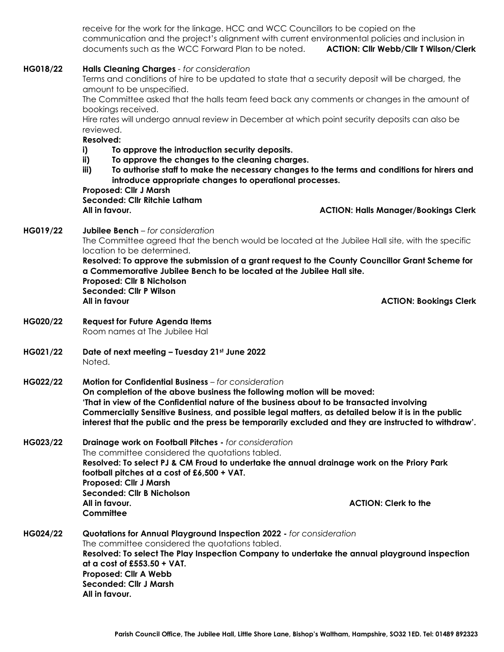receive for the work for the linkage. HCC and WCC Councillors to be copied on the communication and the project's alignment with current environmental policies and inclusion in documents such as the WCC Forward Plan to be noted. **ACTION: Cllr Webb/Cllr T Wilson/Clerk**

| HG018/22 | Halls Cleaning Charges - for consideration                                                                                                                                                                                                                                          |                                                                                                      |  |  |  |
|----------|-------------------------------------------------------------------------------------------------------------------------------------------------------------------------------------------------------------------------------------------------------------------------------------|------------------------------------------------------------------------------------------------------|--|--|--|
|          |                                                                                                                                                                                                                                                                                     | Terms and conditions of hire to be updated to state that a security deposit will be charged, the     |  |  |  |
|          | amount to be unspecified.<br>The Committee asked that the halls team feed back any comments or changes in the amount of                                                                                                                                                             |                                                                                                      |  |  |  |
|          | bookings received.                                                                                                                                                                                                                                                                  |                                                                                                      |  |  |  |
|          |                                                                                                                                                                                                                                                                                     | Hire rates will undergo annual review in December at which point security deposits can also be       |  |  |  |
|          | reviewed.                                                                                                                                                                                                                                                                           |                                                                                                      |  |  |  |
|          | <b>Resolved:</b>                                                                                                                                                                                                                                                                    |                                                                                                      |  |  |  |
|          | To approve the introduction security deposits.<br>i)                                                                                                                                                                                                                                |                                                                                                      |  |  |  |
|          | To approve the changes to the cleaning charges.<br>ii)<br>To authorise staff to make the necessary changes to the terms and conditions for hirers and<br>iii)<br>introduce appropriate changes to operational processes.<br>Proposed: Cllr J Marsh<br>Seconded: Cllr Ritchie Latham |                                                                                                      |  |  |  |
|          |                                                                                                                                                                                                                                                                                     |                                                                                                      |  |  |  |
|          |                                                                                                                                                                                                                                                                                     |                                                                                                      |  |  |  |
|          |                                                                                                                                                                                                                                                                                     |                                                                                                      |  |  |  |
|          | All in favour.                                                                                                                                                                                                                                                                      | <b>ACTION: Halls Manager/Bookings Clerk</b>                                                          |  |  |  |
|          |                                                                                                                                                                                                                                                                                     |                                                                                                      |  |  |  |
| HG019/22 | Jubilee Bench - for consideration                                                                                                                                                                                                                                                   |                                                                                                      |  |  |  |
|          | The Committee agreed that the bench would be located at the Jubilee Hall site, with the specific                                                                                                                                                                                    |                                                                                                      |  |  |  |
|          | location to be determined.                                                                                                                                                                                                                                                          |                                                                                                      |  |  |  |
|          | Resolved: To approve the submission of a grant request to the County Councillor Grant Scheme for                                                                                                                                                                                    |                                                                                                      |  |  |  |
|          | a Commemorative Jubilee Bench to be located at the Jubilee Hall site.                                                                                                                                                                                                               |                                                                                                      |  |  |  |
|          | Proposed: Cllr B Nicholson<br><b>Seconded: Cllr P Wilson</b>                                                                                                                                                                                                                        |                                                                                                      |  |  |  |
|          | All in favour                                                                                                                                                                                                                                                                       | <b>ACTION: Bookings Clerk</b>                                                                        |  |  |  |
|          |                                                                                                                                                                                                                                                                                     |                                                                                                      |  |  |  |
| HG020/22 | <b>Request for Future Agenda Items</b>                                                                                                                                                                                                                                              |                                                                                                      |  |  |  |
|          | Room names at The Jubilee Hal                                                                                                                                                                                                                                                       |                                                                                                      |  |  |  |
|          |                                                                                                                                                                                                                                                                                     |                                                                                                      |  |  |  |
| HG021/22 | Date of next meeting - Tuesday 21st June 2022                                                                                                                                                                                                                                       |                                                                                                      |  |  |  |
|          | Noted.                                                                                                                                                                                                                                                                              |                                                                                                      |  |  |  |
| HG022/22 | <b>Motion for Confidential Business</b> - for consideration                                                                                                                                                                                                                         |                                                                                                      |  |  |  |
|          | On completion of the above business the following motion will be moved:                                                                                                                                                                                                             |                                                                                                      |  |  |  |
|          | 'That in view of the Confidential nature of the business about to be transacted involving                                                                                                                                                                                           |                                                                                                      |  |  |  |
|          | Commercially Sensitive Business, and possible legal matters, as detailed below it is in the public                                                                                                                                                                                  |                                                                                                      |  |  |  |
|          |                                                                                                                                                                                                                                                                                     | interest that the public and the press be temporarily excluded and they are instructed to withdraw'. |  |  |  |
|          |                                                                                                                                                                                                                                                                                     |                                                                                                      |  |  |  |
| HG023/22 | Drainage work on Football Pitches - for consideration                                                                                                                                                                                                                               |                                                                                                      |  |  |  |
|          | The committee considered the quotations tabled.<br>Resolved: To select PJ & CM Froud to undertake the annual drainage work on the Priory Park                                                                                                                                       |                                                                                                      |  |  |  |
|          | football pitches at a cost of £6,500 + VAT.                                                                                                                                                                                                                                         |                                                                                                      |  |  |  |
|          | Proposed: Cllr J Marsh                                                                                                                                                                                                                                                              |                                                                                                      |  |  |  |
|          | Seconded: Cllr B Nicholson                                                                                                                                                                                                                                                          |                                                                                                      |  |  |  |
|          | All in favour.                                                                                                                                                                                                                                                                      | <b>ACTION: Clerk to the</b>                                                                          |  |  |  |
|          | Committee                                                                                                                                                                                                                                                                           |                                                                                                      |  |  |  |
|          |                                                                                                                                                                                                                                                                                     |                                                                                                      |  |  |  |
| HG024/22 | Quotations for Annual Playground Inspection 2022 - for consideration<br>The committee considered the quotations tabled.                                                                                                                                                             |                                                                                                      |  |  |  |
|          | Resolved: To select The Play Inspection Company to undertake the annual playground inspection                                                                                                                                                                                       |                                                                                                      |  |  |  |
|          | at a cost of £553.50 + VAT.                                                                                                                                                                                                                                                         |                                                                                                      |  |  |  |
|          | Proposed: Cllr A Webb                                                                                                                                                                                                                                                               |                                                                                                      |  |  |  |
|          | <b>Seconded: Cllr J Marsh</b>                                                                                                                                                                                                                                                       |                                                                                                      |  |  |  |
|          | All in favour.                                                                                                                                                                                                                                                                      |                                                                                                      |  |  |  |
|          |                                                                                                                                                                                                                                                                                     |                                                                                                      |  |  |  |